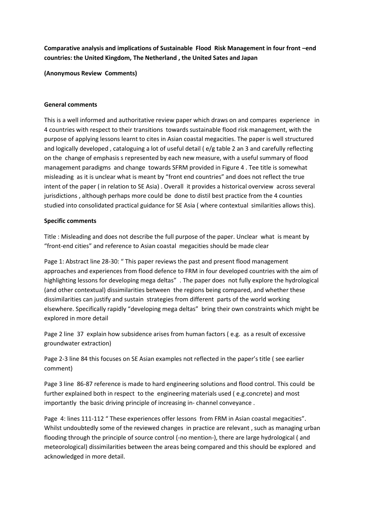**Comparative analysis and implications of Sustainable Flood Risk Management in four front –end countries: the United Kingdom, The Netherland , the United Sates and Japan**

**(Anonymous Review Comments)** 

## **General comments**

This is a well informed and authoritative review paper which draws on and compares experience in 4 countries with respect to their transitions towards sustainable flood risk management, with the purpose of applying lessons learnt to cites in Asian coastal megacities. The paper is well structured and logically developed , cataloguing a lot of useful detail ( e/g table 2 an 3 and carefully reflecting on the change of emphasis s represented by each new measure, with a useful summary of flood management paradigms and change towards SFRM provided in Figure 4 . Tee title is somewhat misleading as it is unclear what is meant by "front end countries" and does not reflect the true intent of the paper ( in relation to SE Asia) . Overall it provides a historical overview across several jurisdictions , although perhaps more could be done to distil best practice from the 4 counties studied into consolidated practical guidance for SE Asia ( where contextual similarities allows this).

## **Specific comments**

Title : Misleading and does not describe the full purpose of the paper. Unclear what is meant by "front-end cities" and reference to Asian coastal megacities should be made clear

Page 1: Abstract line 28-30: " This paper reviews the past and present flood management approaches and experiences from flood defence to FRM in four developed countries with the aim of highlighting lessons for developing mega deltas" . The paper does not fully explore the hydrological (and other contextual) dissimilarities between the regions being compared, and whether these dissimilarities can justify and sustain strategies from different parts of the world working elsewhere. Specifically rapidly "developing mega deltas" bring their own constraints which might be explored in more detail

Page 2 line 37 explain how subsidence arises from human factors (e.g. as a result of excessive groundwater extraction)

Page 2-3 line 84 this focuses on SE Asian examples not reflected in the paper's title ( see earlier comment)

Page 3 line 86-87 reference is made to hard engineering solutions and flood control. This could be further explained both in respect to the engineering materials used ( e.g.concrete) and most importantly the basic driving principle of increasing in- channel conveyance .

Page 4: lines 111-112 " These experiences offer lessons from FRM in Asian coastal megacities". Whilst undoubtedly some of the reviewed changes in practice are relevant , such as managing urban flooding through the principle of source control (-no mention-), there are large hydrological ( and meteorological) dissimilarities between the areas being compared and this should be explored and acknowledged in more detail.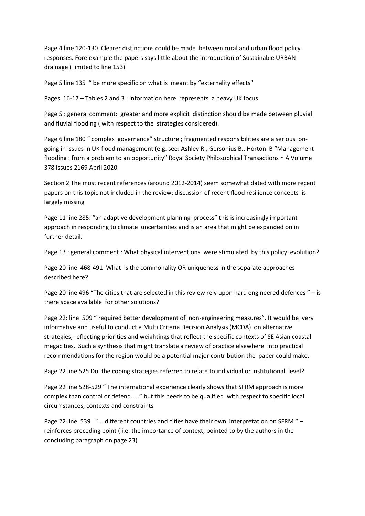Page 4 line 120-130 Clearer distinctions could be made between rural and urban flood policy responses. Fore example the papers says little about the introduction of Sustainable URBAN drainage ( limited to line 153)

Page 5 line 135 " be more specific on what is meant by "externality effects"

Pages 16-17 – Tables 2 and 3 : information here represents a heavy UK focus

Page 5 : general comment: greater and more explicit distinction should be made between pluvial and fluvial flooding ( with respect to the strategies considered).

Page 6 line 180 " complex governance" structure ; fragmented responsibilities are a serious ongoing in issues in UK flood management (e.g. see: Ashley R., Gersonius B., Horton B "Management flooding : from a problem to an opportunity" Royal Society Philosophical Transactions n A Volume 378 Issues 2169 April 2020

Section 2 The most recent references (around 2012-2014) seem somewhat dated with more recent papers on this topic not included in the review; discussion of recent flood resilience concepts is largely missing

Page 11 line 285: "an adaptive development planning process" this is increasingly important approach in responding to climate uncertainties and is an area that might be expanded on in further detail.

Page 13 : general comment : What physical interventions were stimulated by this policy evolution?

Page 20 line 468-491 What is the commonality OR uniqueness in the separate approaches described here?

Page 20 line 496 "The cities that are selected in this review rely upon hard engineered defences " – is there space available for other solutions?

Page 22: line 509 " required better development of non-engineering measures". It would be very informative and useful to conduct a Multi Criteria Decision Analysis (MCDA) on alternative strategies, reflecting priorities and weightings that reflect the specific contexts of SE Asian coastal megacities. Such a synthesis that might translate a review of practice elsewhere into practical recommendations for the region would be a potential major contribution the paper could make.

Page 22 line 525 Do the coping strategies referred to relate to individual or institutional level?

Page 22 line 528-529 " The international experience clearly shows that SFRM approach is more complex than control or defend....." but this needs to be qualified with respect to specific local circumstances, contexts and constraints

Page 22 line 539 "....different countries and cities have their own interpretation on SFRM " reinforces preceding point ( i.e. the importance of context, pointed to by the authors in the concluding paragraph on page 23)